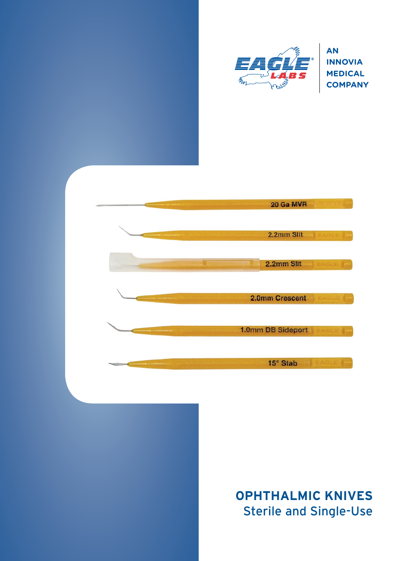

**INNOVIA MEDICAL COMPANY**



# **OPHTHALMIC KNIVES** Sterile and Single-Use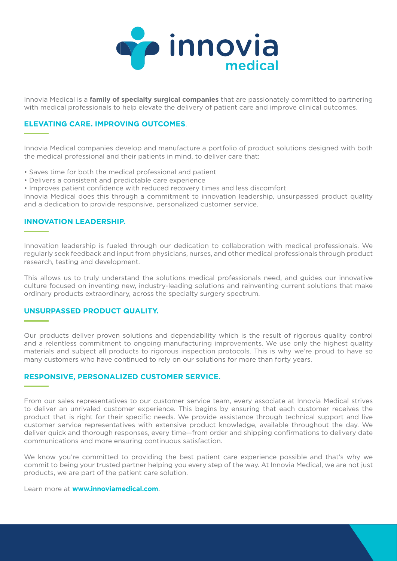

Innovia Medical is a **family of specialty surgical companies** that are passionately committed to partnering with medical professionals to help elevate the delivery of patient care and improve clinical outcomes.

#### **ELEVATING CARE. IMPROVING OUTCOMES**.

Innovia Medical companies develop and manufacture a portfolio of product solutions designed with both the medical professional and their patients in mind, to deliver care that:

- Saves time for both the medical professional and patient
- Delivers a consistent and predictable care experience
- Improves patient confidence with reduced recovery times and less discomfort

Innovia Medical does this through a commitment to innovation leadership, unsurpassed product quality and a dedication to provide responsive, personalized customer service.

#### **INNOVATION LEADERSHIP.**

Innovation leadership is fueled through our dedication to collaboration with medical professionals. We regularly seek feedback and input from physicians, nurses, and other medical professionals through product research, testing and development.

This allows us to truly understand the solutions medical professionals need, and guides our innovative culture focused on inventing new, industry-leading solutions and reinventing current solutions that make ordinary products extraordinary, across the specialty surgery spectrum.

#### **UNSURPASSED PRODUCT QUALITY.**

Our products deliver proven solutions and dependability which is the result of rigorous quality control and a relentless commitment to ongoing manufacturing improvements. We use only the highest quality materials and subject all products to rigorous inspection protocols. This is why we're proud to have so many customers who have continued to rely on our solutions for more than forty years.

#### **RESPONSIVE, PERSONALIZED CUSTOMER SERVICE.**

From our sales representatives to our customer service team, every associate at Innovia Medical strives to deliver an unrivaled customer experience. This begins by ensuring that each customer receives the product that is right for their specific needs. We provide assistance through technical support and live customer service representatives with extensive product knowledge, available throughout the day. We deliver quick and thorough responses, every time—from order and shipping confirmations to delivery date communications and more ensuring continuous satisfaction.

We know you're committed to providing the best patient care experience possible and that's why we commit to being your trusted partner helping you every step of the way. At Innovia Medical, we are not just products, we are part of the patient care solution.

Learn more at **www.innoviamedical.com**.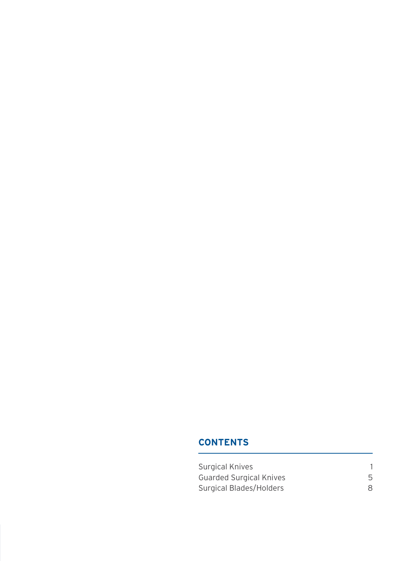### **CONTENTS**

| <b>Surgical Knives</b>         |  |
|--------------------------------|--|
| <b>Guarded Surgical Knives</b> |  |
| Surgical Blades/Holders        |  |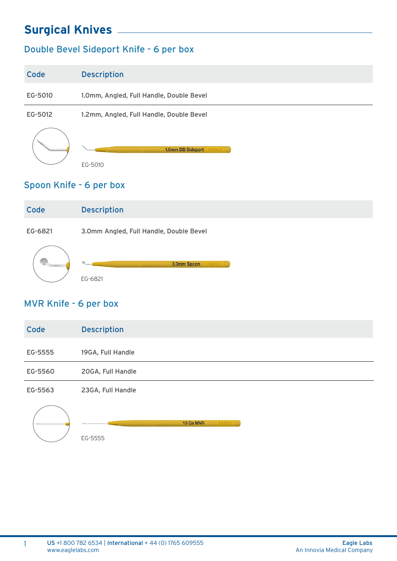### Double Bevel Sideport Knife - 6 per box

| Code    | <b>Description</b>                       |
|---------|------------------------------------------|
| EG-5010 | 1.0mm, Angled, Full Handle, Double Bevel |
| EG-5012 | 1.2mm, Angled, Full Handle, Double Bevel |
|         | 1.0mm DB Sideport<br>EAGLE<br>EG-5010    |

### Spoon Knife - 6 per box

| Code    | <b>Description</b>                      |
|---------|-----------------------------------------|
| EG-6821 | 3.0mm Angled, Full Handle, Double Bevel |
|         | ø.<br>3.0mm Spoon<br>EAGLE<br>EG-6821   |

### MVR Knife - 6 per box

| Code    | <b>Description</b> |
|---------|--------------------|
| EG-5555 | 19GA, Full Handle  |
| EG-5560 | 20GA, Full Handle  |
| EG-5563 | 23GA, Full Handle  |
|         | 19 Ga MVR<br>EAGLE |

EG-5555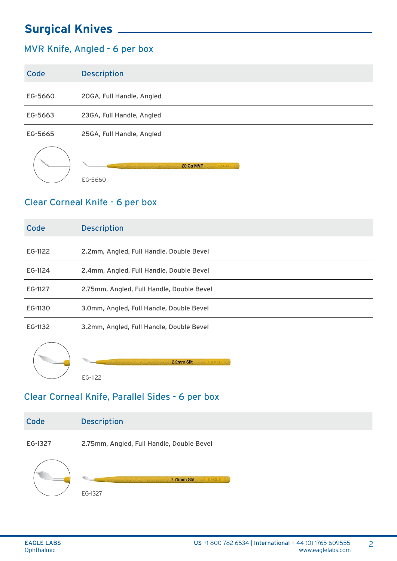### MVR Knife, Angled - 6 per box

| Code    | <b>Description</b>        |
|---------|---------------------------|
| EG-5660 | 20GA, Full Handle, Angled |
| EG-5663 | 23GA, Full Handle, Angled |
| EG-5665 | 25GA, Full Handle, Angled |
|         | 20 Ga MVR<br><b>EAGLE</b> |

#### Clear Corneal Knife - 6 per box

EG-5660

| Code    | <b>Description</b>                        |
|---------|-------------------------------------------|
| EG-1122 | 2.2mm, Angled, Full Handle, Double Bevel  |
| EG-1124 | 2.4mm, Angled, Full Handle, Double Bevel  |
| EG-1127 | 2.75mm, Angled, Full Handle, Double Bevel |
| EG-1130 | 3.0mm, Angled, Full Handle, Double Bevel  |
| EG-1132 | 3.2mm, Angled, Full Handle, Double Bevel  |
|         | 2.2mm Slit<br>EAGLE                       |

EG-1122

#### Clear Corneal Knife, Parallel Sides - 6 per box

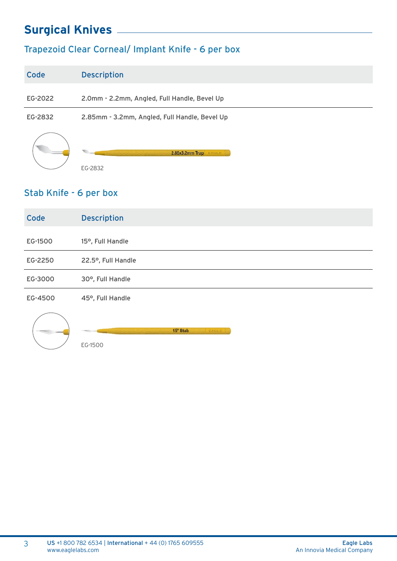## Trapezoid Clear Corneal/ Implant Knife - 6 per box

| Code    | <b>Description</b>                            |
|---------|-----------------------------------------------|
| EG-2022 | 2.0mm - 2.2mm, Angled, Full Handle, Bevel Up  |
| EG-2832 | 2.85mm - 3.2mm, Angled, Full Handle, Bevel Up |
|         | 2.85x3.2mm Trap<br>AGLE<br>EG-2832            |

#### Stab Knife - 6 per box

| Code    | <b>Description</b> |
|---------|--------------------|
| EG-1500 | 15°, Full Handle   |
| EG-2250 | 22.5°, Full Handle |
| EG-3000 | 30°, Full Handle   |
| EG-4500 | 45°, Full Handle   |



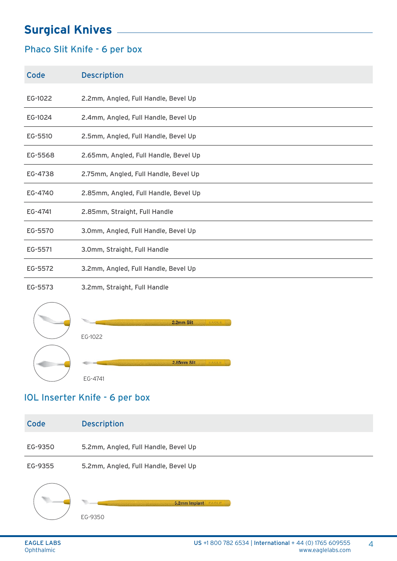### Phaco Slit Knife - 6 per box

Code Description

| EG-1022 | 2.2mm, Angled, Full Handle, Bevel Up  |
|---------|---------------------------------------|
| EG-1024 | 2.4mm, Angled, Full Handle, Bevel Up  |
| EG-5510 | 2.5mm, Angled, Full Handle, Bevel Up  |
| EG-5568 | 2.65mm, Angled, Full Handle, Bevel Up |
| EG-4738 | 2.75mm, Angled, Full Handle, Bevel Up |
| EG-4740 | 2.85mm, Angled, Full Handle, Bevel Up |
| EG-4741 | 2.85mm, Straight, Full Handle         |
| EG-5570 | 3.0mm, Angled, Full Handle, Bevel Up  |
| EG-5571 | 3.0mm, Straight, Full Handle          |
| EG-5572 | 3.2mm, Angled, Full Handle, Bevel Up  |
|         |                                       |

EG-5573 3.2mm, Straight, Full Handle



### IOL Inserter Knife - 6 per box

| Code    | <b>Description</b>                       |
|---------|------------------------------------------|
| EG-9350 | 5.2mm, Angled, Full Handle, Bevel Up     |
| EG-9355 | 5.2mm, Angled, Full Handle, Bevel Up     |
|         | 5.2mm Implant<br><b>EAGLE</b><br>EG-9350 |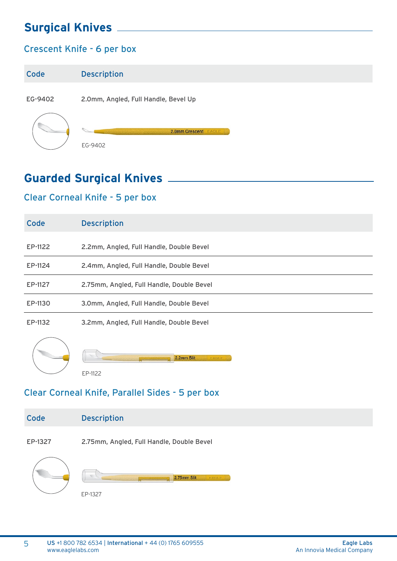### Crescent Knife - 6 per box

| Code    | <b>Description</b>                   |
|---------|--------------------------------------|
| EG-9402 | 2.0mm, Angled, Full Handle, Bevel Up |
|         | 2.0mm Crescent<br>EAGLE<br>EG-9402   |

## **Guarded Surgical Knives**

### Clear Corneal Knife - 5 per box

| Code    | <b>Description</b>                        |
|---------|-------------------------------------------|
| EP-1122 | 2.2mm, Angled, Full Handle, Double Bevel  |
| EP-1124 | 2.4mm, Angled, Full Handle, Double Bevel  |
| EP-1127 | 2.75mm, Angled, Full Handle, Double Bevel |
| EP-1130 | 3.0mm, Angled, Full Handle, Double Bevel  |
| EP-1132 | 3.2mm, Angled, Full Handle, Double Bevel  |
|         | 2.2mm Slit<br><b>EAGLE</b>                |

#### Clear Corneal Knife, Parallel Sides - 5 per box



EP-1327

EP-1122

5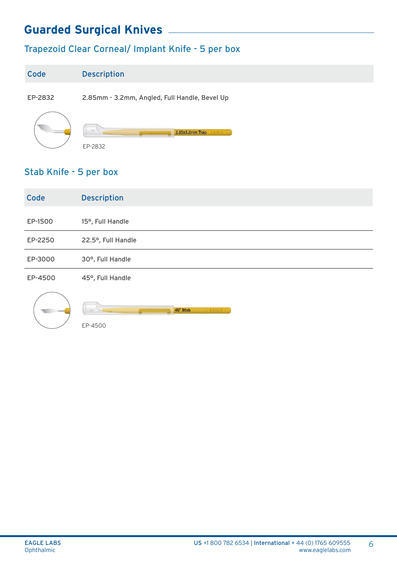# **Guarded Surgical Knives**

## Trapezoid Clear Corneal/ Implant Knife - 5 per box

| Code    | <b>Description</b>                            |
|---------|-----------------------------------------------|
| EP-2832 | 2.85mm - 3.2mm, Angled, Full Handle, Bevel Up |
|         | 2.85x3.2mm Trap<br>EAGLE<br>EP-2832           |

### Stab Knife - 5 per box

| Code    | <b>Description</b> |
|---------|--------------------|
| EP-1500 | 15°, Full Handle   |
| EP-2250 | 22.5°, Full Handle |
| EP-3000 | 30°, Full Handle   |
| EP-4500 | 45°, Full Handle   |
|         |                    |



45° Stab

EP-4500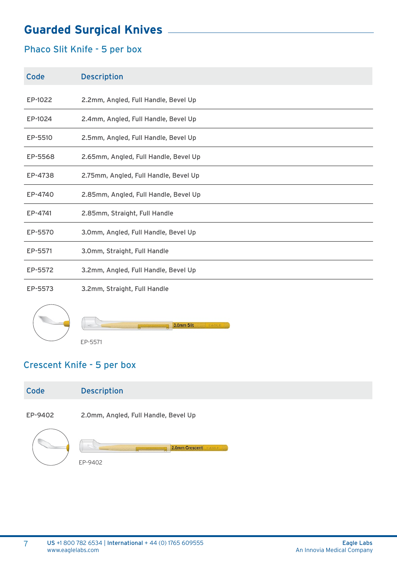# **Guarded Surgical Knives**

### Phaco Slit Knife - 5 per box

| Code    | <b>Description</b>                    |
|---------|---------------------------------------|
| EP-1022 | 2.2mm, Angled, Full Handle, Bevel Up  |
| EP-1024 | 2.4mm, Angled, Full Handle, Bevel Up  |
| EP-5510 | 2.5mm, Angled, Full Handle, Bevel Up  |
| EP-5568 | 2.65mm, Angled, Full Handle, Bevel Up |
| EP-4738 | 2.75mm, Angled, Full Handle, Bevel Up |
| EP-4740 | 2.85mm, Angled, Full Handle, Bevel Up |
| EP-4741 | 2.85mm, Straight, Full Handle         |
| EP-5570 | 3.0mm, Angled, Full Handle, Bevel Up  |
| EP-5571 | 3.0mm, Straight, Full Handle          |
| EP-5572 | 3.2mm, Angled, Full Handle, Bevel Up  |
| EP-5573 | 3.2mm, Straight, Full Handle          |



7

3.0mm Slit EP-5571

### Crescent Knife - 5 per box

| Code    | <b>Description</b>                   |
|---------|--------------------------------------|
| EP-9402 | 2.0mm, Angled, Full Handle, Bevel Up |
|         | 2.0mm Crescent<br>EAGLE<br>EP-9402   |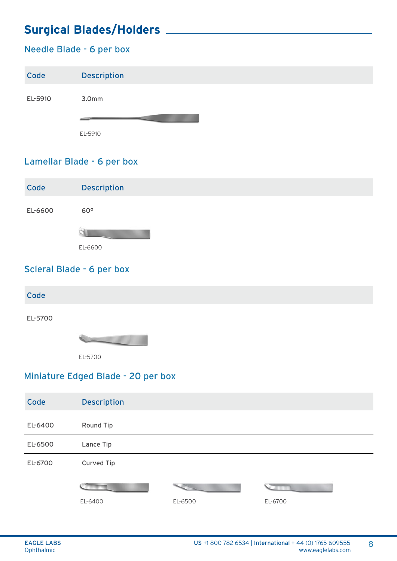# **Surgical Blades/Holders**

### Needle Blade - 6 per box

| Code    | <b>Description</b> |
|---------|--------------------|
| EL-5910 | 3.0 <sub>mm</sub>  |
|         |                    |
|         | EL-5910            |

#### Lamellar Blade - 6 per box



### Scleral Blade - 6 per box

| Code    |         |
|---------|---------|
| EL-5700 |         |
|         |         |
|         | EL-5700 |

### Miniature Edged Blade - 20 per box

| Code    | <b>Description</b> |         |         |
|---------|--------------------|---------|---------|
| EL-6400 | Round Tip          |         |         |
| EL-6500 | Lance Tip          |         |         |
| EL-6700 | <b>Curved Tip</b>  |         |         |
|         |                    |         |         |
|         |                    |         |         |
|         | EL-6400            | EL-6500 | EL-6700 |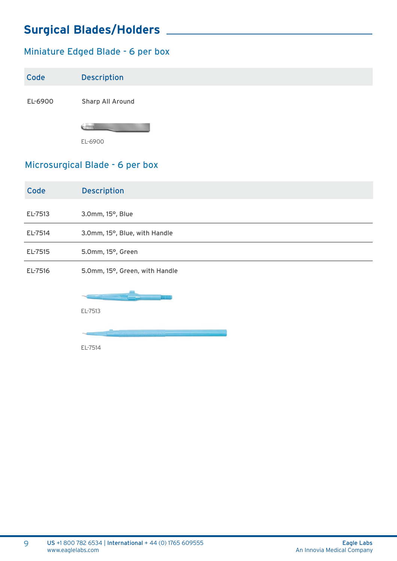# **Surgical Blades/Holders**

### Miniature Edged Blade - 6 per box

| Code    | <b>Description</b> |
|---------|--------------------|
| EL-6900 | Sharp All Around   |
|         |                    |
|         | EL-6900            |

### Microsurgical Blade - 6 per box

| Code    | <b>Description</b>             |
|---------|--------------------------------|
| EL-7513 | 3.0mm, 15°, Blue               |
| EL-7514 | 3.0mm, 15°, Blue, with Handle  |
| EL-7515 | 5.0mm, 15°, Green              |
| EL-7516 | 5.0mm, 15°, Green, with Handle |
|         | <b>MMM</b>                     |
|         | EL-7513                        |

EL-7514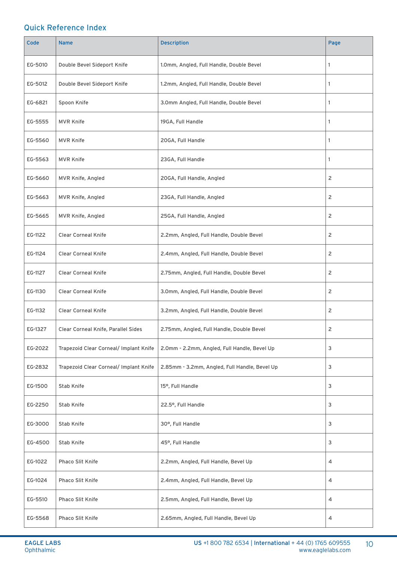#### Quick Reference Index

| Code    | <b>Name</b>                            | <b>Description</b>                            | Page         |
|---------|----------------------------------------|-----------------------------------------------|--------------|
| EG-5010 | Double Bevel Sideport Knife            | 1.0mm, Angled, Full Handle, Double Bevel      | 1            |
| EG-5012 | Double Bevel Sideport Knife            | 1.2mm, Angled, Full Handle, Double Bevel      | 1            |
| EG-6821 | Spoon Knife                            | 3.0mm Angled, Full Handle, Double Bevel       | 1            |
| EG-5555 | <b>MVR Knife</b>                       | 19GA, Full Handle                             | $\mathbf{1}$ |
| EG-5560 | <b>MVR Knife</b>                       | 20GA, Full Handle                             | 1            |
| EG-5563 | <b>MVR Knife</b>                       | 23GA, Full Handle                             | 1            |
| EG-5660 | MVR Knife, Angled                      | 20GA, Full Handle, Angled                     | 2            |
| EG-5663 | MVR Knife, Angled                      | 23GA, Full Handle, Angled                     | 2            |
| EG-5665 | MVR Knife, Angled                      | 25GA, Full Handle, Angled                     | 2            |
| EG-1122 | <b>Clear Corneal Knife</b>             | 2.2mm, Angled, Full Handle, Double Bevel      | 2            |
| EG-1124 | <b>Clear Corneal Knife</b>             | 2.4mm, Angled, Full Handle, Double Bevel      | 2            |
| EG-1127 | <b>Clear Corneal Knife</b>             | 2.75mm, Angled, Full Handle, Double Bevel     | 2            |
| EG-1130 | <b>Clear Corneal Knife</b>             | 3.0mm, Angled, Full Handle, Double Bevel      | 2            |
| EG-1132 | <b>Clear Corneal Knife</b>             | 3.2mm, Angled, Full Handle, Double Bevel      | 2            |
| EG-1327 | Clear Corneal Knife, Parallel Sides    | 2.75mm, Angled, Full Handle, Double Bevel     | 2            |
| EG-2022 | Trapezoid Clear Corneal/ Implant Knife | 2.0mm - 2.2mm, Angled, Full Handle, Bevel Up  | 3            |
| EG-2832 | Trapezoid Clear Corneal/ Implant Knife | 2.85mm - 3.2mm, Angled, Full Handle, Bevel Up | 3            |
| EG-1500 | Stab Knife                             | 15°, Full Handle                              | 3            |
| EG-2250 | Stab Knife                             | 22.5°, Full Handle                            | 3            |
| EG-3000 | Stab Knife                             | 30°, Full Handle                              | 3            |
| EG-4500 | Stab Knife                             | 45°, Full Handle                              | 3            |
| EG-1022 | Phaco Slit Knife                       | 2.2mm, Angled, Full Handle, Bevel Up          | 4            |
| EG-1024 | Phaco Slit Knife                       | 2.4mm, Angled, Full Handle, Bevel Up          | 4            |
| EG-5510 | Phaco Slit Knife                       | 2.5mm, Angled, Full Handle, Bevel Up          | 4            |
| EG-5568 | Phaco Slit Knife                       | 2.65mm, Angled, Full Handle, Bevel Up         | 4            |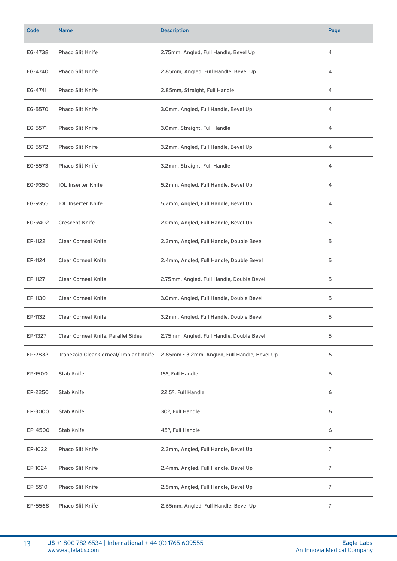| Code    | <b>Name</b>                            | Description                                   | Page           |
|---------|----------------------------------------|-----------------------------------------------|----------------|
| EG-4738 | <b>Phaco Slit Knife</b>                | 2.75mm, Angled, Full Handle, Bevel Up         | 4              |
| EG-4740 | Phaco Slit Knife                       | 2.85mm, Angled, Full Handle, Bevel Up         | 4              |
| EG-4741 | Phaco Slit Knife                       | 2.85mm, Straight, Full Handle                 | 4              |
| EG-5570 | <b>Phaco Slit Knife</b>                | 3.0mm, Angled, Full Handle, Bevel Up          | 4              |
| EG-5571 | Phaco Slit Knife                       | 3.0mm, Straight, Full Handle                  | 4              |
| EG-5572 | Phaco Slit Knife                       | 3.2mm, Angled, Full Handle, Bevel Up          | 4              |
| EG-5573 | <b>Phaco Slit Knife</b>                | 3.2mm, Straight, Full Handle                  | 4              |
| EG-9350 | <b>IOL Inserter Knife</b>              | 5.2mm, Angled, Full Handle, Bevel Up          | 4              |
| EG-9355 | <b>IOL Inserter Knife</b>              | 5.2mm, Angled, Full Handle, Bevel Up          | 4              |
| EG-9402 | <b>Crescent Knife</b>                  | 2.0mm, Angled, Full Handle, Bevel Up          | 5              |
| EP-1122 | <b>Clear Corneal Knife</b>             | 2.2mm, Angled, Full Handle, Double Bevel      | 5              |
| EP-1124 | <b>Clear Corneal Knife</b>             | 2.4mm, Angled, Full Handle, Double Bevel      | 5              |
| EP-1127 | <b>Clear Corneal Knife</b>             | 2.75mm, Angled, Full Handle, Double Bevel     | 5              |
| EP-1130 | <b>Clear Corneal Knife</b>             | 3.0mm, Angled, Full Handle, Double Bevel      | 5              |
| EP-1132 | <b>Clear Corneal Knife</b>             | 3.2mm, Angled, Full Handle, Double Bevel      | 5              |
| EP-1327 | Clear Corneal Knife, Parallel Sides    | 2.75mm, Angled, Full Handle, Double Bevel     | 5              |
| EP-2832 | Trapezoid Clear Corneal/ Implant Knife | 2.85mm - 3.2mm, Angled, Full Handle, Bevel Up | 6              |
| EP-1500 | Stab Knife                             | 15°, Full Handle                              | 6              |
| EP-2250 | Stab Knife                             | 22.5°, Full Handle                            | 6              |
| EP-3000 | Stab Knife                             | 30°, Full Handle                              | 6              |
| EP-4500 | Stab Knife                             | 45°, Full Handle                              | 6              |
| EP-1022 | Phaco Slit Knife                       | 2.2mm, Angled, Full Handle, Bevel Up          | $\overline{7}$ |
| EP-1024 | Phaco Slit Knife                       | 2.4mm, Angled, Full Handle, Bevel Up          | 7              |
| EP-5510 | Phaco Slit Knife                       | 2.5mm, Angled, Full Handle, Bevel Up          | $\overline{7}$ |
| EP-5568 | Phaco Slit Knife                       | 2.65mm, Angled, Full Handle, Bevel Up         | 7              |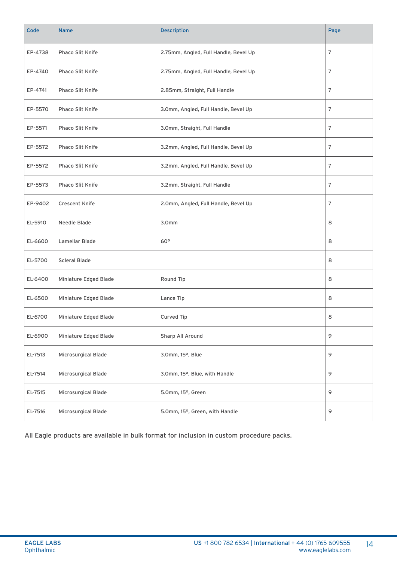| Code    | <b>Name</b>           | Description                           | Page           |
|---------|-----------------------|---------------------------------------|----------------|
| EP-4738 | Phaco Slit Knife      | 2.75mm, Angled, Full Handle, Bevel Up | 7              |
| EP-4740 | Phaco Slit Knife      | 2.75mm, Angled, Full Handle, Bevel Up | 7              |
| EP-4741 | Phaco Slit Knife      | 2.85mm, Straight, Full Handle         | $\overline{7}$ |
| EP-5570 | Phaco Slit Knife      | 3.0mm, Angled, Full Handle, Bevel Up  | 7              |
| EP-5571 | Phaco Slit Knife      | 3.0mm, Straight, Full Handle          | 7              |
| EP-5572 | Phaco Slit Knife      | 3.2mm, Angled, Full Handle, Bevel Up  | $\overline{7}$ |
| EP-5572 | Phaco Slit Knife      | 3.2mm, Angled, Full Handle, Bevel Up  | $\overline{7}$ |
| EP-5573 | Phaco Slit Knife      | 3.2mm, Straight, Full Handle          | $\overline{7}$ |
| EP-9402 | <b>Crescent Knife</b> | 2.0mm, Angled, Full Handle, Bevel Up  | 7              |
| EL-5910 | Needle Blade          | 3.0 <sub>mm</sub>                     | 8              |
| EL-6600 | Lamellar Blade        | $60^{\circ}$                          | 8              |
| EL-5700 | <b>Scleral Blade</b>  |                                       | 8              |
| EL-6400 | Miniature Edged Blade | Round Tip                             | 8              |
| EL-6500 | Miniature Edged Blade | Lance Tip                             | 8              |
| EL-6700 | Miniature Edged Blade | Curved Tip                            | 8              |
| EL-6900 | Miniature Edged Blade | Sharp All Around                      | 9              |
| EL-7513 | Microsurgical Blade   | 3.0mm, 15°, Blue                      | 9              |
| EL-7514 | Microsurgical Blade   | 3.0mm, 15°, Blue, with Handle         | 9              |
| EL-7515 | Microsurgical Blade   | 5.0mm, 15°, Green                     | 9              |
| EL-7516 | Microsurgical Blade   | 5.0mm, 15°, Green, with Handle        | 9              |

All Eagle products are available in bulk format for inclusion in custom procedure packs.